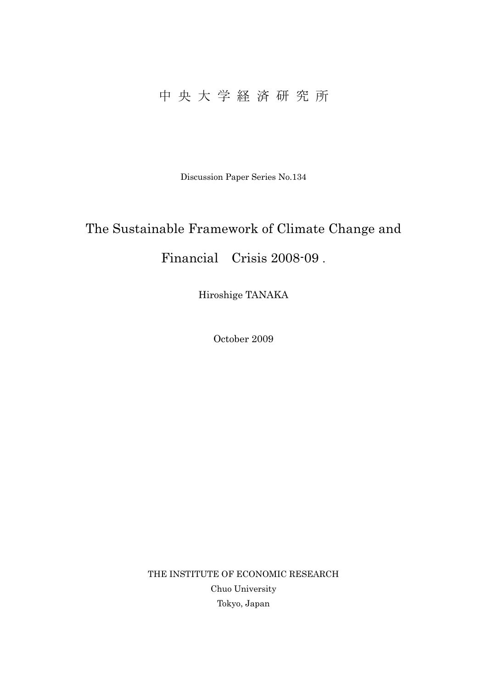# 中 央 大 学 経 済 研 究 所

Discussion Paper Series No.134

# The Sustainable Framework of Climate Change and Financial Crisis 2008-09 .

Hiroshige TANAKA

October 2009

THE INSTITUTE OF ECONOMIC RESEARCH Chuo University Tokyo, Japan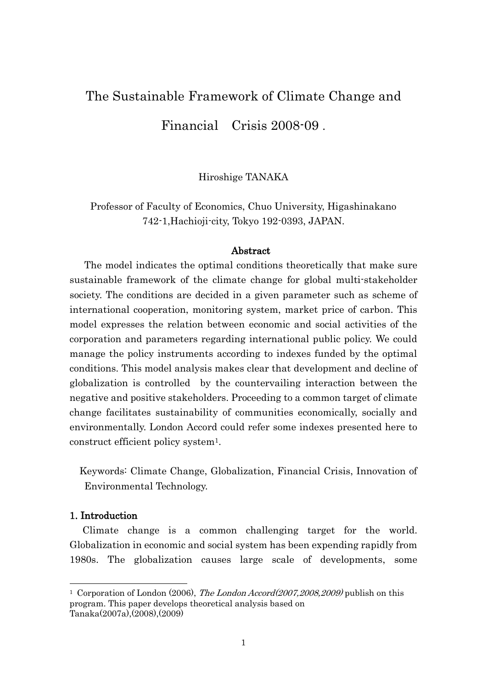# The Sustainable Framework of Climate Change and Financial Crisis 2008-09 .

Hiroshige TANAKA

Professor of Faculty of Economics, Chuo University, Higashinakano 742-1,Hachioji-city, Tokyo 192-0393, JAPAN.

### Abstract

The model indicates the optimal conditions theoretically that make sure sustainable framework of the climate change for global multi-stakeholder society. The conditions are decided in a given parameter such as scheme of international cooperation, monitoring system, market price of carbon. This model expresses the relation between economic and social activities of the corporation and parameters regarding international public policy. We could manage the policy instruments according to indexes funded by the optimal conditions. This model analysis makes clear that development and decline of globalization is controlled by the countervailing interaction between the negative and positive stakeholders. Proceeding to a common target of climate change facilitates sustainability of communities economically, socially and environmentally. London Accord could refer some indexes presented here to construct efficient policy system1.

Keywords: Climate Change, Globalization, Financial Crisis, Innovation of Environmental Technology.

# 1. Introduction

-

Climate change is a common challenging target for the world. Globalization in economic and social system has been expending rapidly from 1980s. The globalization causes large scale of developments, some

<sup>&</sup>lt;sup>1</sup> Corporation of London (2006), *The London Accord (2007, 2008, 2009)* publish on this program. This paper develops theoretical analysis based on Tanaka(2007a),(2008),(2009)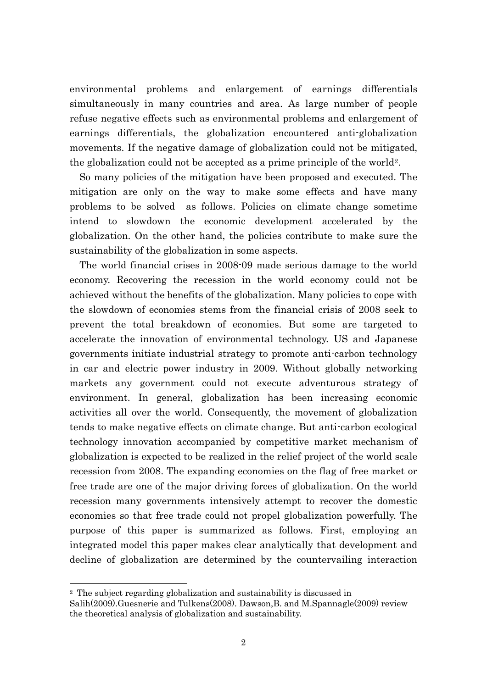environmental problems and enlargement of earnings differentials simultaneously in many countries and area. As large number of people refuse negative effects such as environmental problems and enlargement of earnings differentials, the globalization encountered anti-globalization movements. If the negative damage of globalization could not be mitigated, the globalization could not be accepted as a prime principle of the world2.

So many policies of the mitigation have been proposed and executed. The mitigation are only on the way to make some effects and have many problems to be solved as follows. Policies on climate change sometime intend to slowdown the economic development accelerated by the globalization. On the other hand, the policies contribute to make sure the sustainability of the globalization in some aspects.

 The world financial crises in 2008-09 made serious damage to the world economy. Recovering the recession in the world economy could not be achieved without the benefits of the globalization. Many policies to cope with the slowdown of economies stems from the financial crisis of 2008 seek to prevent the total breakdown of economies. But some are targeted to accelerate the innovation of environmental technology. US and Japanese governments initiate industrial strategy to promote anti-carbon technology in car and electric power industry in 2009. Without globally networking markets any government could not execute adventurous strategy of environment. In general, globalization has been increasing economic activities all over the world. Consequently, the movement of globalization tends to make negative effects on climate change. But anti-carbon ecological technology innovation accompanied by competitive market mechanism of globalization is expected to be realized in the relief project of the world scale recession from 2008. The expanding economies on the flag of free market or free trade are one of the major driving forces of globalization. On the world recession many governments intensively attempt to recover the domestic economies so that free trade could not propel globalization powerfully. The purpose of this paper is summarized as follows. First, employing an integrated model this paper makes clear analytically that development and decline of globalization are determined by the countervailing interaction

<sup>2</sup> The subject regarding globalization and sustainability is discussed in Salih(2009).Guesnerie and Tulkens(2008). Dawson,B. and M.Spannagle(2009) review the theoretical analysis of globalization and sustainability.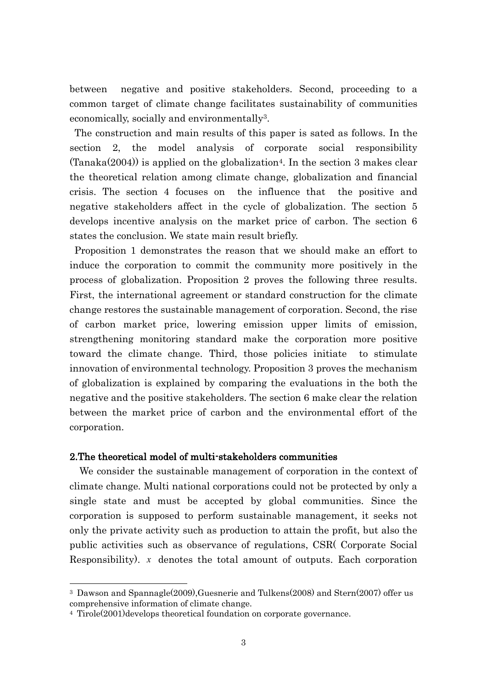between negative and positive stakeholders. Second, proceeding to a common target of climate change facilitates sustainability of communities economically, socially and environmentally3.

The construction and main results of this paper is sated as follows. In the section 2, the model analysis of corporate social responsibility  $(Tanaka(2004))$  is applied on the globalization<sup>4</sup>. In the section 3 makes clear the theoretical relation among climate change, globalization and financial crisis. The section 4 focuses on the influence that the positive and negative stakeholders affect in the cycle of globalization. The section 5 develops incentive analysis on the market price of carbon. The section 6 states the conclusion. We state main result briefly.

Proposition 1 demonstrates the reason that we should make an effort to induce the corporation to commit the community more positively in the process of globalization. Proposition 2 proves the following three results. First, the international agreement or standard construction for the climate change restores the sustainable management of corporation. Second, the rise of carbon market price, lowering emission upper limits of emission, strengthening monitoring standard make the corporation more positive toward the climate change. Third, those policies initiate to stimulate innovation of environmental technology. Proposition 3 proves the mechanism of globalization is explained by comparing the evaluations in the both the negative and the positive stakeholders. The section 6 make clear the relation between the market price of carbon and the environmental effort of the corporation.

# 2.The theoretical model of multi-stakeholders communities

We consider the sustainable management of corporation in the context of climate change. Multi national corporations could not be protected by only a single state and must be accepted by global communities. Since the corporation is supposed to perform sustainable management, it seeks not only the private activity such as production to attain the profit, but also the public activities such as observance of regulations, CSR( Corporate Social Responsibility). *x* denotes the total amount of outputs. Each corporation

<sup>3</sup> Dawson and Spannagle(2009),Guesnerie and Tulkens(2008) and Stern(2007) offer us comprehensive information of climate change.

<sup>4</sup> Tirole(2001)develops theoretical foundation on corporate governance.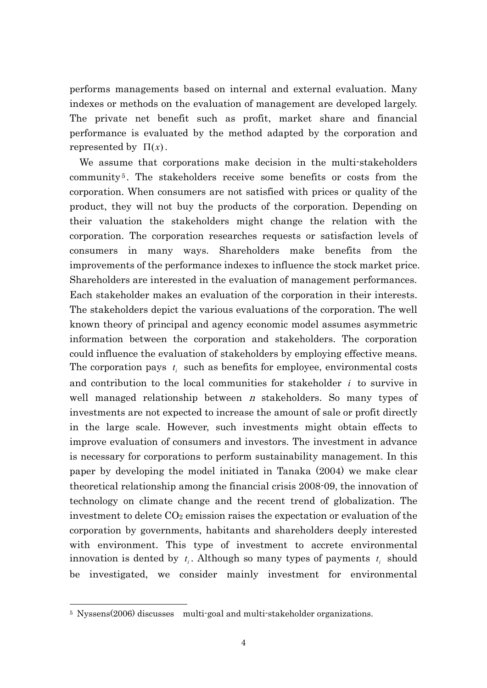performs managements based on internal and external evaluation. Many indexes or methods on the evaluation of management are developed largely. The private net benefit such as profit, market share and financial performance is evaluated by the method adapted by the corporation and represented by  $\Pi(x)$ .

We assume that corporations make decision in the multi-stakeholders community <sup>5</sup> . The stakeholders receive some benefits or costs from the corporation. When consumers are not satisfied with prices or quality of the product, they will not buy the products of the corporation. Depending on their valuation the stakeholders might change the relation with the corporation. The corporation researches requests or satisfaction levels of consumers in many ways. Shareholders make benefits from the improvements of the performance indexes to influence the stock market price. Shareholders are interested in the evaluation of management performances. Each stakeholder makes an evaluation of the corporation in their interests. The stakeholders depict the various evaluations of the corporation. The well known theory of principal and agency economic model assumes asymmetric information between the corporation and stakeholders. The corporation could influence the evaluation of stakeholders by employing effective means. The corporation pays  $t_i$  such as benefits for employee, environmental costs and contribution to the local communities for stakeholder *i* to survive in well managed relationship between  $n$  stakeholders. So many types of investments are not expected to increase the amount of sale or profit directly in the large scale. However, such investments might obtain effects to improve evaluation of consumers and investors. The investment in advance is necessary for corporations to perform sustainability management. In this paper by developing the model initiated in Tanaka (2004) we make clear theoretical relationship among the financial crisis 2008-09, the innovation of technology on climate change and the recent trend of globalization. The investment to delete  $CO<sub>2</sub>$  emission raises the expectation or evaluation of the corporation by governments, habitants and shareholders deeply interested with environment. This type of investment to accrete environmental innovation is dented by  $t_i$ . Although so many types of payments  $t_i$  should be investigated, we consider mainly investment for environmental

<sup>5</sup> Nyssens(2006) discusses multi-goal and multi-stakeholder organizations.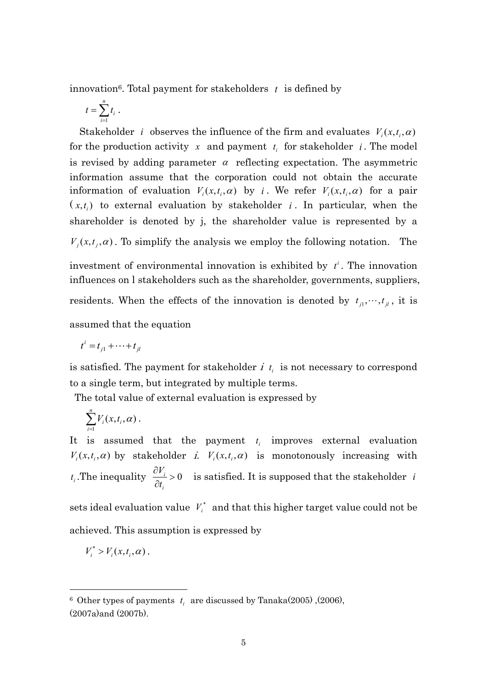innovation6. Total payment for stakeholders *t* is defined by

$$
t=\sum_{i=1}^n t_i.
$$

Stakeholder *i* observes the influence of the firm and evaluates  $V_i(x,t_i, \alpha)$ for the production activity  $x$  and payment  $t_i$  for stakeholder  $i$ . The model is revised by adding parameter  $\alpha$  reflecting expectation. The asymmetric information assume that the corporation could not obtain the accurate information of evaluation  $V_i(x,t_i,\alpha)$  by *i*. We refer  $V_i(x,t_i,\alpha)$  for a pair  $(x,t_i)$  to external evaluation by stakeholder *i*. In particular, when the shareholder is denoted by j, the shareholder value is represented by a  $V_i(x, t_i, \alpha)$ . To simplify the analysis we employ the following notation. The investment of environmental innovation is exhibited by  $t^i$ . The innovation

influences on l stakeholders such as the shareholder, governments, suppliers, residents. When the effects of the innovation is denoted by  $t_{j1}, \dots, t_{jl}$ , it is assumed that the equation

$$
t^i = t_{j1} + \cdots + t_{jl}
$$

is satisfied. The payment for stakeholder  $i$   $t_i$  is not necessary to correspond to a single term, but integrated by multiple terms.

The total value of external evaluation is expressed by

$$
\sum_{i=1}^n V_i(x,t_i,\alpha)\,.
$$

It is assumed that the payment  $t_i$  improves external evaluation  $V_i(x,t_i,\alpha)$  by stakeholder *i.*  $V_i(x,t_i,\alpha)$  is monotonously increasing with  $t_i$ . The inequality  $\frac{U_i}{2} > 0$  $\partial$  $\partial$ *i i t*  $\frac{V_i}{V}$  > 0 is satisfied. It is supposed that the stakeholder *i* 

sets ideal evaluation value  $V_i^*$  and that this higher target value could not be achieved. This assumption is expressed by

$$
V_i^* > V_i(x,t_i,\alpha).
$$

 $6$  Other types of payments  $t_i$  are discussed by Tanaka(2005), (2006), (2007a)and (2007b).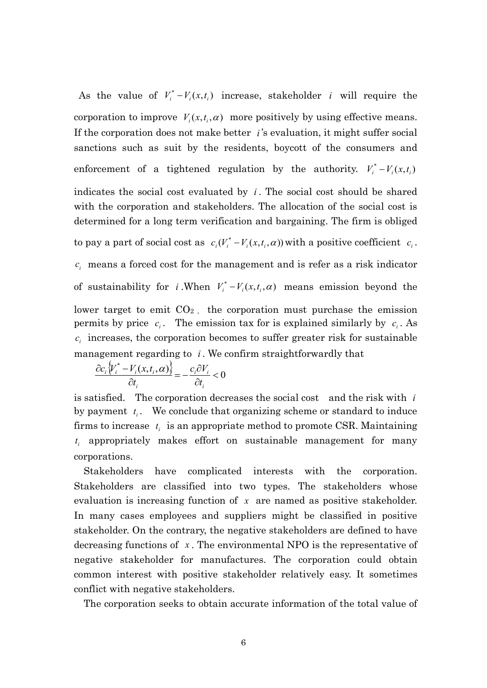As the value of  $V_i^* - V_i(x, t_i)$  increase, stakeholder *i* will require the corporation to improve  $V_i(x,t_i,\alpha)$  more positively by using effective means. If the corporation does not make better  $i$ 's evaluation, it might suffer social sanctions such as suit by the residents, boycott of the consumers and enforcement of a tightened regulation by the authority.  $V_i^* - V_i(x, t_i)$ indicates the social cost evaluated by  $i$ . The social cost should be shared with the corporation and stakeholders. The allocation of the social cost is determined for a long term verification and bargaining. The firm is obliged to pay a part of social cost as  $c_i(V_i^* - V_i(x, t_i, \alpha))$  with a positive coefficient  $c_i$ .  $c_i$  means a forced cost for the management and is refer as a risk indicator of sustainability for *i*. When  $V_i^* - V_i(x, t_i, \alpha)$  means emission beyond the lower target to emit  $CO<sub>2</sub>$ , the corporation must purchase the emission permits by price  $c_i$ . The emission tax for is explained similarly by  $c_i$ . As  $c_i$  increases, the corporation becomes to suffer greater risk for sustainable management regarding to *i* . We confirm straightforwardly that

$$
\frac{\partial c_i \left\{ V_i^* - V_i(x, t_i, \alpha) \right\}}{\partial t_i} = -\frac{c_i \partial V_i}{\partial t_i} < 0
$$

is satisfied. The corporation decreases the social cost and the risk with *i* by payment  $t_i$ . We conclude that organizing scheme or standard to induce firms to increase  $t_i$  is an appropriate method to promote CSR. Maintaining *i t* appropriately makes effort on sustainable management for many corporations.

Stakeholders have complicated interests with the corporation. Stakeholders are classified into two types. The stakeholders whose evaluation is increasing function of *x* are named as positive stakeholder. In many cases employees and suppliers might be classified in positive stakeholder. On the contrary, the negative stakeholders are defined to have decreasing functions of *x* . The environmental NPO is the representative of negative stakeholder for manufactures. The corporation could obtain common interest with positive stakeholder relatively easy. It sometimes conflict with negative stakeholders.

The corporation seeks to obtain accurate information of the total value of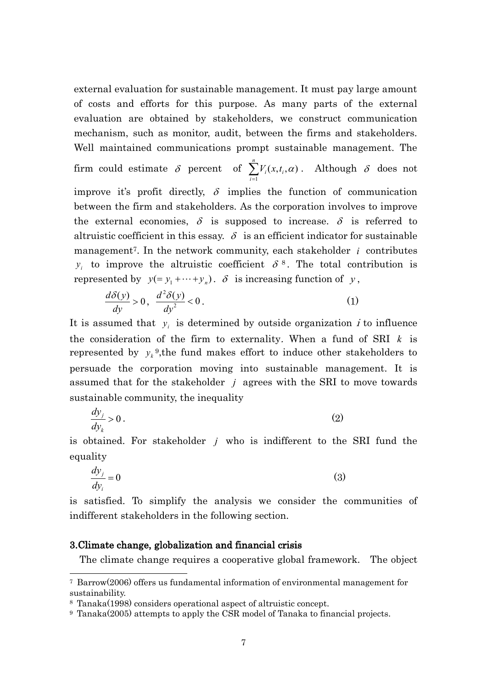external evaluation for sustainable management. It must pay large amount of costs and efforts for this purpose. As many parts of the external evaluation are obtained by stakeholders, we construct communication mechanism, such as monitor, audit, between the firms and stakeholders. Well maintained communications prompt sustainable management. The firm could estimate  $\delta$  percent of  $\sum V_i(x,t_i,\alpha)$  $\sum_{i=1}^{n} V_i(x,t_i,\alpha)$ *n i*  $V_i(x,t_i,\alpha)$ . Although  $\delta$  does not improve it's profit directly,  $\delta$  implies the function of communication between the firm and stakeholders. As the corporation involves to improve the external economies,  $\delta$  is supposed to increase.  $\delta$  is referred to altruistic coefficient in this essay.  $\delta$  is an efficient indicator for sustainable management<sup>7</sup>. In the network community, each stakeholder *i* contributes  $y_i$  to improve the altruistic coefficient  $\delta^8$ . The total contribution is represented by  $y(=y_1 + \cdots + y_n)$ .  $\delta$  is increasing function of y,

$$
\frac{d\delta(y)}{dy} > 0, \quad \frac{d^2\delta(y)}{dy^2} < 0.
$$
 (1)

It is assumed that  $y_i$  is determined by outside organization  $i$  to influence the consideration of the firm to externality. When a fund of SRI *k* is represented by  $y_k^9$ , the fund makes effort to induce other stakeholders to persuade the corporation moving into sustainable management. It is assumed that for the stakeholder  $j$  agrees with the SRI to move towards sustainable community, the inequality

$$
\frac{dy_j}{dy_k} > 0.
$$
 (2)

is obtained. For stakeholder  $j$  who is indifferent to the SRI fund the equality

$$
\frac{dy_j}{dy_i} = 0\tag{3}
$$

is satisfied. To simplify the analysis we consider the communities of indifferent stakeholders in the following section.

# 3.Climate change, globalization and financial crisis

 $\overline{a}$ 

The climate change requires a cooperative global framework. The object

<sup>7</sup> Barrow(2006) offers us fundamental information of environmental management for sustainability.

<sup>8</sup> Tanaka(1998) considers operational aspect of altruistic concept.

<sup>9</sup> Tanaka(2005) attempts to apply the CSR model of Tanaka to financial projects.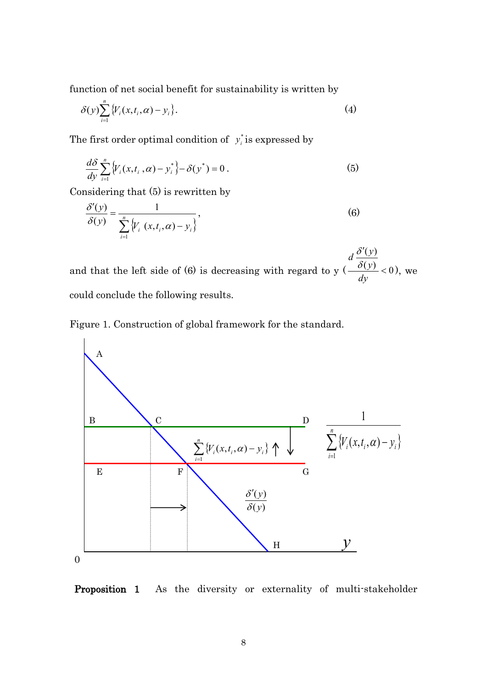function of net social benefit for sustainability is written by

$$
\delta(y) \sum_{i=1}^{n} \{V_i(x, t_i, \alpha) - y_i\}.
$$
 (4)

The first order optimal condition of  $y_i^*$  $y_i^*$  is expressed by

$$
\frac{d\delta}{dy}\sum_{i=1}^n\left\{V_i(x,t_i,\alpha)-y_i^*\right\}-\delta(y^*)=0\,.
$$
 (5)

Considering that (5) is rewritten by

$$
\frac{\delta'(y)}{\delta(y)} = \frac{1}{\sum_{i=1}^{n} \left\{ V_i \left( x, t_i, \alpha \right) - y_i \right\}},\tag{6}
$$

and that the left side of (6) is decreasing with regard to y  $\left(\frac{\delta(y)}{y}\right)$  < 0  $(y)$  $\lt$  $\cdot$ *dy y*  $d\frac{\delta'(y)}{\delta(y)}$  $\delta$ ), we could conclude the following results.





Proposition 1 As the diversity or externality of multi-stakeholder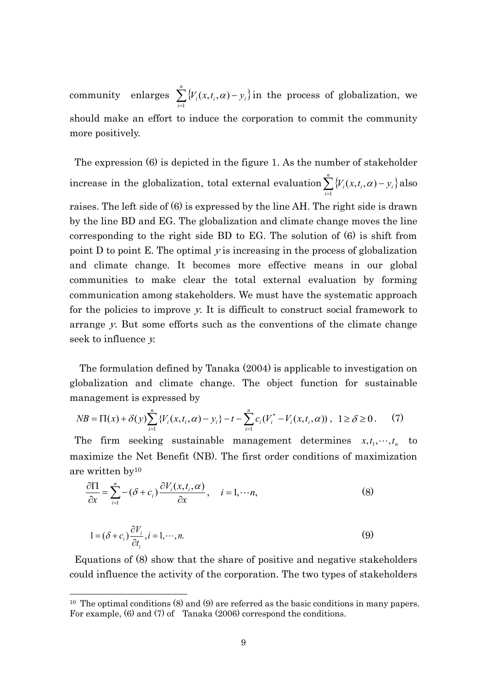community  $\sum_{i=1} \{V_i(x, t_i, \alpha) - y_i\}$  $\sum_{i=1}^{n} \{V_i(x,t_i,\alpha)$ *i*  $V_i(x,t_i,\alpha) - y_i$ 1  $(x,t_i,\alpha)-y_i$  in the process of globalization, we should make an effort to induce the corporation to commit the community more positively.

The expression (6) is depicted in the figure 1. As the number of stakeholder increase in the globalization, total external evaluation  $\sum_{i=1}^{n} \{V_i(x,t_i,\alpha) - y_i\}$  $\sum_{i=1}^{n} \{V_i(x,t_i,\alpha)$ *i*  $V_i(x,t_i,\alpha) - y_i$ 1  $(x,t_i,\alpha)-y_i$  also

raises. The left side of (6) is expressed by the line AH. The right side is drawn by the line BD and EG. The globalization and climate change moves the line corresponding to the right side BD to EG. The solution of (6) is shift from point D to point E. The optimal <sup>y</sup> is increasing in the process of globalization and climate change. It becomes more effective means in our global communities to make clear the total external evaluation by forming communication among stakeholders. We must have the systematic approach for the policies to improve y. It is difficult to construct social framework to arrange y. But some efforts such as the conventions of the climate change seek to influence y.

The formulation defined by Tanaka (2004) is applicable to investigation on globalization and climate change. The object function for sustainable management is expressed by

$$
NB = \Pi(x) + \delta(y) \sum_{i=1}^{n} \{V_i(x, t_i, \alpha) - y_i\} - t - \sum_{i=1}^{n} c_i (V_i^* - V_i(x, t_i, \alpha)), \quad 1 \ge \delta \ge 0. \tag{7}
$$

The firm seeking sustainable management determines  $x, t_1, \dots, t_n$  to maximize the Net Benefit (NB). The first order conditions of maximization are written by<sup>10</sup>

$$
\frac{\partial \Pi}{\partial x} = \sum_{i=1}^{n} -(\delta + c_i) \frac{\partial V_i(x, t_i, \alpha)}{\partial x}, \quad i = 1, \cdots n,
$$
\n(8)

$$
1 = (\delta + c_i) \frac{\partial V_i}{\partial t_i}, i = 1, \cdots, n.
$$
 (9)

-

Equations of (8) show that the share of positive and negative stakeholders could influence the activity of the corporation. The two types of stakeholders

<sup>&</sup>lt;sup>10</sup> The optimal conditions  $(8)$  and  $(9)$  are referred as the basic conditions in many papers. For example, (6) and (7) of Tanaka (2006) correspond the conditions.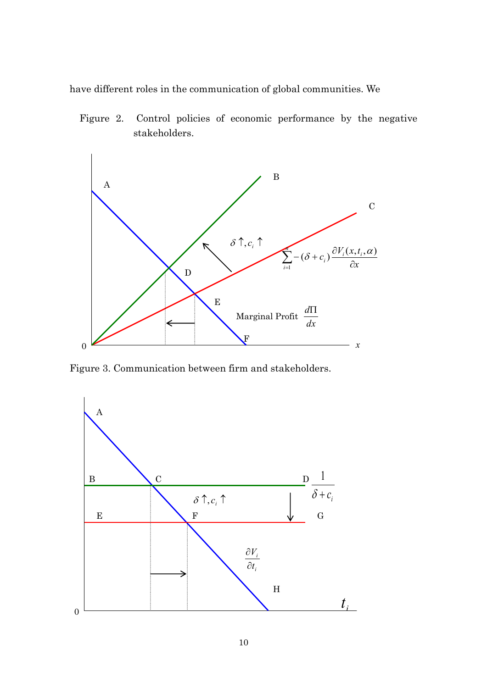have different roles in the communication of global communities. We

Figure 2. Control policies of economic performance by the negative stakeholders.



Figure 3. Communication between firm and stakeholders.

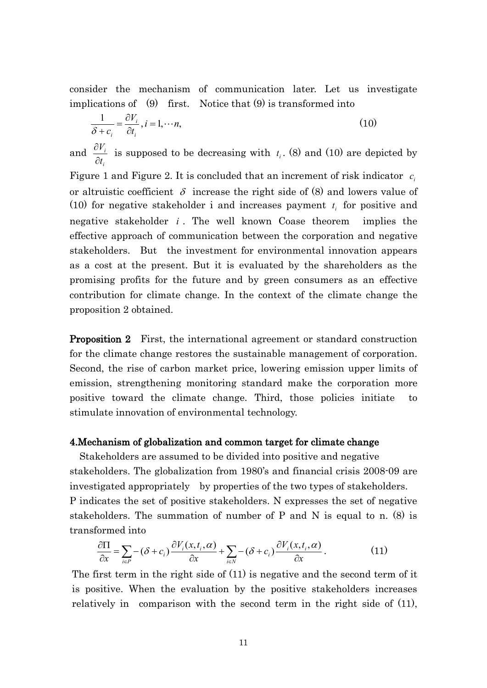consider the mechanism of communication later. Let us investigate implications of (9) first. Notice that (9) is transformed into

$$
\frac{1}{\delta + c_i} = \frac{\partial V_i}{\partial t_i}, i = 1, \cdots n,
$$
\n(10)

and *i i t V*  $\partial$  $\frac{\partial V_i}{\partial t}$  is supposed to be decreasing with  $t_i$ . (8) and (10) are depicted by

Figure 1 and Figure 2. It is concluded that an increment of risk indicator  $c_i$ or altruistic coefficient  $\delta$  increase the right side of (8) and lowers value of (10) for negative stakeholder i and increases payment  $t_i$  for positive and negative stakeholder *i* . The well known Coase theorem implies the effective approach of communication between the corporation and negative stakeholders. But the investment for environmental innovation appears as a cost at the present. But it is evaluated by the shareholders as the promising profits for the future and by green consumers as an effective contribution for climate change. In the context of the climate change the proposition 2 obtained.

**Proposition 2** First, the international agreement or standard construction for the climate change restores the sustainable management of corporation. Second, the rise of carbon market price, lowering emission upper limits of emission, strengthening monitoring standard make the corporation more positive toward the climate change. Third, those policies initiate to stimulate innovation of environmental technology.

#### 4.Mechanism of globalization and common target for climate change

Stakeholders are assumed to be divided into positive and negative stakeholders. The globalization from 1980's and financial crisis 2008-09 are investigated appropriately by properties of the two types of stakeholders. P indicates the set of positive stakeholders. N expresses the set of negative stakeholders. The summation of number of P and N is equal to n. (8) is transformed into

$$
\frac{\partial \Pi}{\partial x} = \sum_{i \in P} -(\delta + c_i) \frac{\partial V_i(x, t_i, \alpha)}{\partial x} + \sum_{i \in N} -(\delta + c_i) \frac{\partial V_i(x, t_i, \alpha)}{\partial x}.
$$
(11)

The first term in the right side of (11) is negative and the second term of it is positive. When the evaluation by the positive stakeholders increases relatively in comparison with the second term in the right side of  $(11)$ ,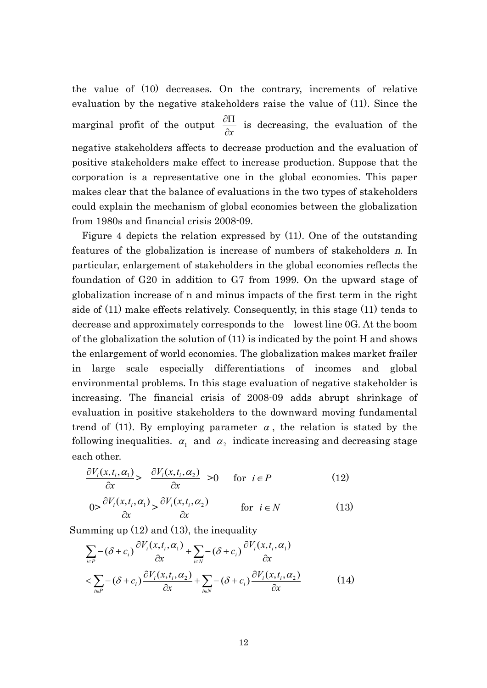the value of (10) decreases. On the contrary, increments of relative evaluation by the negative stakeholders raise the value of (11). Since the marginal profit of the output *x*  $\frac{\partial \Pi}{\partial t}$  is decreasing, the evaluation of the negative stakeholders affects to decrease production and the evaluation of positive stakeholders make effect to increase production. Suppose that the corporation is a representative one in the global economies. This paper makes clear that the balance of evaluations in the two types of stakeholders could explain the mechanism of global economies between the globalization from 1980s and financial crisis 2008-09.

Figure 4 depicts the relation expressed by (11). One of the outstanding features of the globalization is increase of numbers of stakeholders <sup>n</sup>. In particular, enlargement of stakeholders in the global economies reflects the foundation of G20 in addition to G7 from 1999. On the upward stage of globalization increase of n and minus impacts of the first term in the right side of (11) make effects relatively. Consequently, in this stage (11) tends to decrease and approximately corresponds to the lowest line 0G. At the boom of the globalization the solution of (11) is indicated by the point H and shows the enlargement of world economies. The globalization makes market frailer in large scale especially differentiations of incomes and global environmental problems. In this stage evaluation of negative stakeholder is increasing. The financial crisis of 2008-09 adds abrupt shrinkage of evaluation in positive stakeholders to the downward moving fundamental trend of (11). By employing parameter  $\alpha$ , the relation is stated by the following inequalities.  $\alpha_1$  and  $\alpha_2$  indicate increasing and decreasing stage each other.

$$
\frac{\partial V_i(x, t_i, \alpha_1)}{\partial x} > \frac{\partial V_i(x, t_i, \alpha_2)}{\partial x} > 0 \quad \text{for } i \in P \tag{12}
$$
\n
$$
0 > \frac{\partial V_i(x, t_i, \alpha_1)}{\partial x} > \frac{\partial V_i(x, t_i, \alpha_2)}{\partial x} \quad \text{for } i \in N \tag{13}
$$

Summing up (12) and (13), the inequality

$$
\sum_{i \in P} -(\delta + c_i) \frac{\partial V_i(x, t_i, \alpha_1)}{\partial x} + \sum_{i \in N} -(\delta + c_i) \frac{\partial V_i(x, t_i, \alpha_1)}{\partial x} \n< \sum_{i \in P} -(\delta + c_i) \frac{\partial V_i(x, t_i, \alpha_2)}{\partial x} + \sum_{i \in N} -(\delta + c_i) \frac{\partial V_i(x, t_i, \alpha_2)}{\partial x}
$$
\n(14)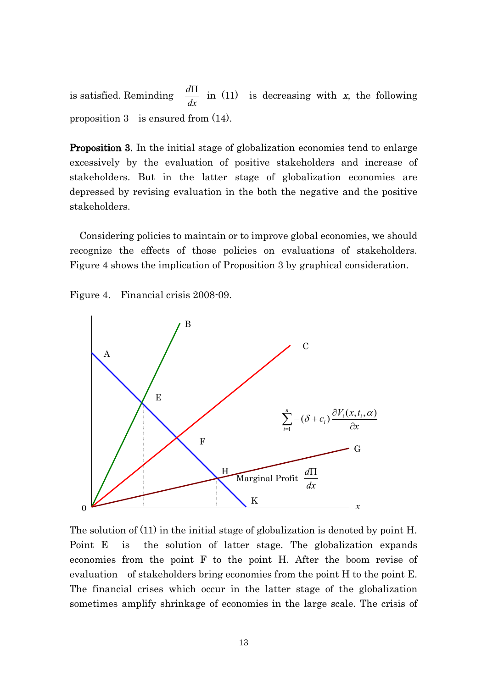is satisfied. Reminding *dx*  $\frac{d\Pi}{dx}$  in (11) is decreasing with x, the following proposition 3 is ensured from (14).

Proposition 3. In the initial stage of globalization economies tend to enlarge excessively by the evaluation of positive stakeholders and increase of stakeholders. But in the latter stage of globalization economies are depressed by revising evaluation in the both the negative and the positive stakeholders.

 Considering policies to maintain or to improve global economies, we should recognize the effects of those policies on evaluations of stakeholders. Figure 4 shows the implication of Proposition 3 by graphical consideration.





The solution of (11) in the initial stage of globalization is denoted by point H. Point E is the solution of latter stage. The globalization expands economies from the point F to the point H. After the boom revise of evaluation of stakeholders bring economies from the point H to the point E. The financial crises which occur in the latter stage of the globalization sometimes amplify shrinkage of economies in the large scale. The crisis of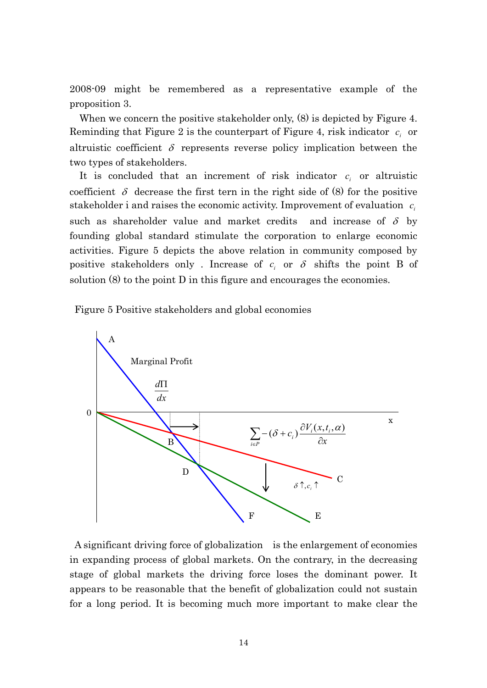2008-09 might be remembered as a representative example of the proposition 3.

When we concern the positive stakeholder only, (8) is depicted by Figure 4. Reminding that Figure 2 is the counterpart of Figure 4, risk indicator  $c_i$  or altruistic coefficient  $\delta$  represents reverse policy implication between the two types of stakeholders.

It is concluded that an increment of risk indicator  $c_i$  or altruistic coefficient  $\delta$  decrease the first tern in the right side of (8) for the positive stakeholder i and raises the economic activity. Improvement of evaluation  $c_i$ such as shareholder value and market credits  $\delta$  by founding global standard stimulate the corporation to enlarge economic activities. Figure 5 depicts the above relation in community composed by positive stakeholders only . Increase of  $c_i$  or  $\delta$  shifts the point B of solution (8) to the point D in this figure and encourages the economies.

Figure 5 Positive stakeholders and global economies



A significant driving force of globalization is the enlargement of economies in expanding process of global markets. On the contrary, in the decreasing stage of global markets the driving force loses the dominant power. It appears to be reasonable that the benefit of globalization could not sustain for a long period. It is becoming much more important to make clear the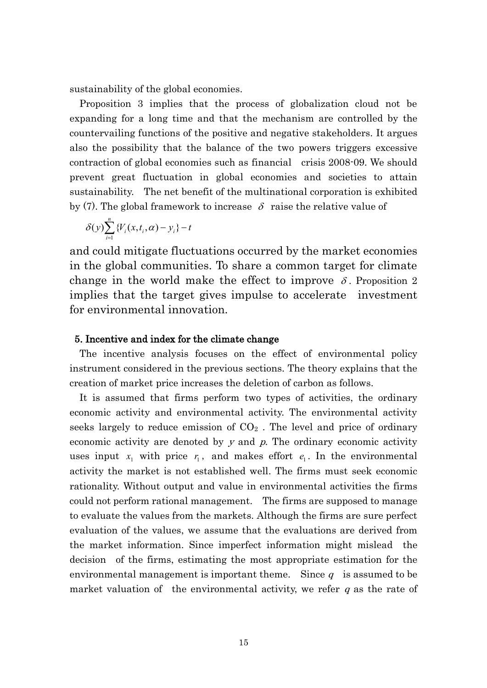sustainability of the global economies.

Proposition 3 implies that the process of globalization cloud not be expanding for a long time and that the mechanism are controlled by the countervailing functions of the positive and negative stakeholders. It argues also the possibility that the balance of the two powers triggers excessive contraction of global economies such as financial crisis 2008-09. We should prevent great fluctuation in global economies and societies to attain sustainability. The net benefit of the multinational corporation is exhibited by (7). The global framework to increase  $\delta$  raise the relative value of

$$
\delta(y) \sum_{i=1}^n \{V_i(x,t_i,\alpha) - y_i\} - t
$$

and could mitigate fluctuations occurred by the market economies in the global communities. To share a common target for climate change in the world make the effect to improve  $\delta$ . Proposition 2 implies that the target gives impulse to accelerate investment for environmental innovation.

#### 5. Incentive and index for the climate change

The incentive analysis focuses on the effect of environmental policy instrument considered in the previous sections. The theory explains that the creation of market price increases the deletion of carbon as follows.

It is assumed that firms perform two types of activities, the ordinary economic activity and environmental activity. The environmental activity seeks largely to reduce emission of  $CO<sub>2</sub>$ . The level and price of ordinary economic activity are denoted by  $y$  and  $p$ . The ordinary economic activity uses input  $x_1$  with price  $r_1$ , and makes effort  $e_1$ . In the environmental activity the market is not established well. The firms must seek economic rationality. Without output and value in environmental activities the firms could not perform rational management. The firms are supposed to manage to evaluate the values from the markets. Although the firms are sure perfect evaluation of the values, we assume that the evaluations are derived from the market information. Since imperfect information might mislead the decision of the firms, estimating the most appropriate estimation for the environmental management is important theme. Since  $q$  is assumed to be market valuation of the environmental activity, we refer  $q$  as the rate of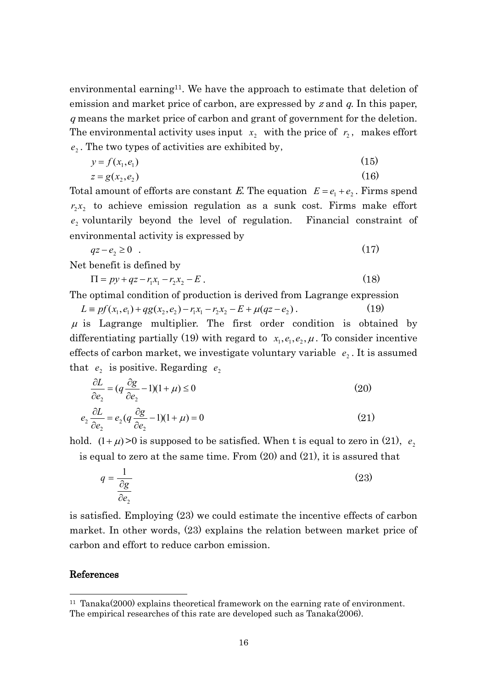environmental earning<sup>11</sup>. We have the approach to estimate that deletion of emission and market price of carbon, are expressed by z and  $q$ . In this paper, <sup>q</sup> means the market price of carbon and grant of government for the deletion. The environmental activity uses input  $x_2$  with the price of  $r_2$ , makes effort  $e_2$ . The two types of activities are exhibited by,

$$
y = f(x_1, e_1) \tag{15}
$$

$$
z = g(x_2, e_2) \tag{16}
$$

Total amount of efforts are constant E. The equation  $E = e_1 + e_2$ . Firms spend  $r_2x_2$  to achieve emission regulation as a sunk cost. Firms make effort 2 *e* voluntarily beyond the level of regulation. Financial constraint of environmental activity is expressed by

$$
qz - e_2 \ge 0 \tag{17}
$$

Net benefit is defined by

$$
\Pi = py + qz - r_1x_1 - r_2x_2 - E \,. \tag{18}
$$

The optimal condition of production is derived from Lagrange expression

 $L \equiv pf(x_1, e_1) + qg(x_2, e_2) - r_1x_1 - r_2x_2 - E + \mu(qz - e_2)$ . (19)  $\mu$  is Lagrange multiplier. The first order condition is obtained by differentiating partially (19) with regard to  $x_1, e_1, e_2, \mu$ . To consider incentive effects of carbon market, we investigate voluntary variable  $e_2$ . It is assumed that  $e_2$  is positive. Regarding  $e_2$ 

$$
\frac{\partial L}{\partial e_2} = (q \frac{\partial g}{\partial e_2} - 1)(1 + \mu) \le 0
$$
\n
$$
e_2 \frac{\partial L}{\partial e_2} = e_2 (q \frac{\partial g}{\partial e_2} - 1)(1 + \mu) = 0
$$
\n(21)

$$
e_2 \frac{\partial E}{\partial e_2} = e_2 (q \frac{\partial E}{\partial e_2} - 1)(1 + \mu) = 0
$$
 (21)  
hold. (1 +  $\mu$ ) > 0 is supposed to be satisfied. When t is equal to zero in (21),

2 *e*

is equal to zero at the same time. From (20) and (21), it is assured that

$$
q = \frac{1}{\frac{\partial g}{\partial e_2}}\tag{23}
$$

is satisfied. Employing (23) we could estimate the incentive effects of carbon market. In other words, (23) explains the relation between market price of carbon and effort to reduce carbon emission.

#### References

<sup>11</sup> Tanaka(2000) explains theoretical framework on the earning rate of environment. The empirical researches of this rate are developed such as Tanaka(2006).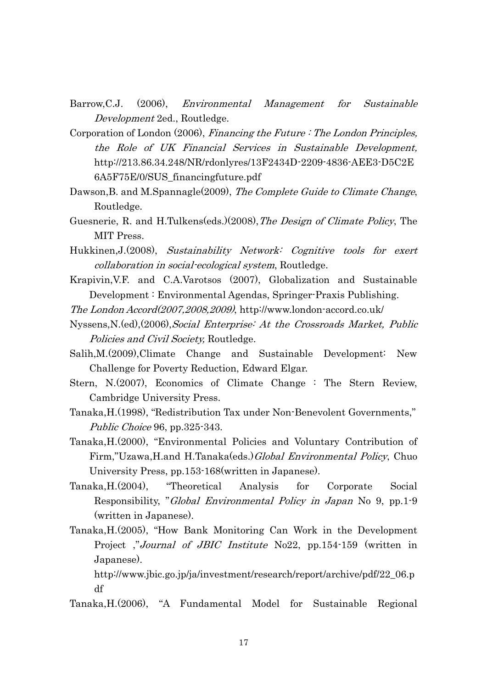- Barrow,C.J. (2006), Environmental Management for Sustainable Development 2ed., Routledge.
- Corporation of London (2006), Financing the Future : The London Principles, the Role of UK Financial Services in Sustainable Development, [http://213.86.34.248/NR/rdonlyres/13F2434D-2209-4836-AEE3-D5C2E](http://213.86.34.248/NR/rdonlyres/13F2434D-2209-4836-AEE3-D5C2E6A5F75E/0/SUS_financingfuture.pdf) [6A5F75E/0/SUS\\_financingfuture.pdf](http://213.86.34.248/NR/rdonlyres/13F2434D-2209-4836-AEE3-D5C2E6A5F75E/0/SUS_financingfuture.pdf)
- Dawson, B. and M.Spannagle(2009), The Complete Guide to Climate Change, Routledge.
- Guesnerie, R. and H.Tulkens(eds.)(2008), *The Design of Climate Policy*, The MIT Press.
- Hukkinen, J. (2008), Sustainability Network: Cognitive tools for exert collaboration in social-ecological system, Routledge.
- Krapivin,V.F. and C.A.Varotsos (2007), Globalization and Sustainable Development : Environmental Agendas, Springer-Praxis Publishing.
- The London Accord(2007,2008,2009), http://www.london-accord.co.uk/
- Nyssens,N.(ed),(2006),Social Enterprise: At the Crossroads Market, Public Policies and Civil Society, Routledge.
- Salih,M.(2009),Climate Change and Sustainable Development: New Challenge for Poverty Reduction, Edward Elgar.
- Stern, N.(2007), Economics of Climate Change : The Stern Review, Cambridge University Press.
- Tanaka,H.(1998), "Redistribution Tax under Non-Benevolent Governments," Public Choice 96, pp.325-343.
- Tanaka,H.(2000), "Environmental Policies and Voluntary Contribution of Firm,"Uzawa,H.and H.Tanaka(eds.)Global Environmental Policy, Chuo University Press, pp.153-168(written in Japanese).
- Tanaka,H.(2004), "Theoretical Analysis for Corporate Social Responsibility, "Global Environmental Policy in Japan No 9, pp.1-9 (written in Japanese).
- Tanaka,H.(2005), "How Bank Monitoring Can Work in the Development Project ,"Journal of JBIC Institute No22, pp.154-159 (written in Japanese).

http://www.jbic.go.jp/ja/investment/research/report/archive/pdf/22\_06.p df

Tanaka,H.(2006), "A Fundamental Model for Sustainable Regional